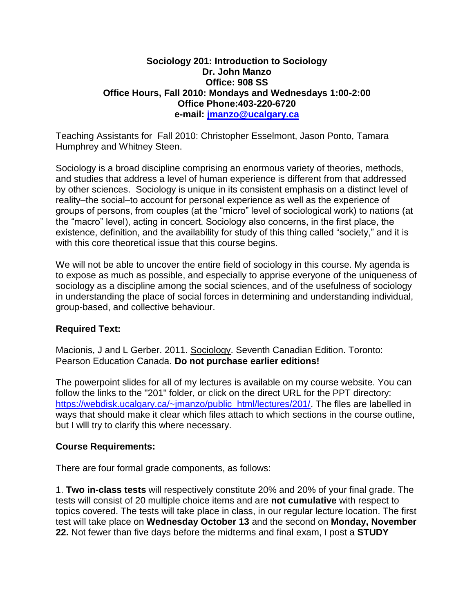### **Sociology 201: Introduction to Sociology Dr. John Manzo Office: 908 SS Office Hours, Fall 2010: Mondays and Wednesdays 1:00-2:00 Office Phone:403-220-6720 e-mail: [jmanzo@ucalgary.ca](mailto:jmanzo@ucalgary.ca)**

Teaching Assistants for Fall 2010: Christopher Esselmont, Jason Ponto, Tamara Humphrey and Whitney Steen.

Sociology is a broad discipline comprising an enormous variety of theories, methods, and studies that address a level of human experience is different from that addressed by other sciences. Sociology is unique in its consistent emphasis on a distinct level of reality–the social–to account for personal experience as well as the experience of groups of persons, from couples (at the "micro" level of sociological work) to nations (at the "macro" level), acting in concert. Sociology also concerns, in the first place, the existence, definition, and the availability for study of this thing called "society," and it is with this core theoretical issue that this course begins.

We will not be able to uncover the entire field of sociology in this course. My agenda is to expose as much as possible, and especially to apprise everyone of the uniqueness of sociology as a discipline among the social sciences, and of the usefulness of sociology in understanding the place of social forces in determining and understanding individual, group-based, and collective behaviour.

# **Required Text:**

Macionis, J and L Gerber. 2011. Sociology. Seventh Canadian Edition. Toronto: Pearson Education Canada. **Do not purchase earlier editions!**

The powerpoint slides for all of my lectures is available on my course website. You can follow the links to the "201" folder, or click on the direct URL for the PPT directory: [https://webdisk.ucalgary.ca/~jmanzo/public\\_html/lectures/201/.](https://webdisk.ucalgary.ca/~jmanzo/public_html/lectures/201/) The flles are labelled in ways that should make it clear which files attach to which sections in the course outline, but I wlll try to clarify this where necessary.

### **Course Requirements:**

There are four formal grade components, as follows:

1. **Two in-class tests** will respectively constitute 20% and 20% of your final grade. The tests will consist of 20 multiple choice items and are **not cumulative** with respect to topics covered. The tests will take place in class, in our regular lecture location. The first test will take place on **Wednesday October 13** and the second on **Monday, November 22.** Not fewer than five days before the midterms and final exam, I post a **STUDY**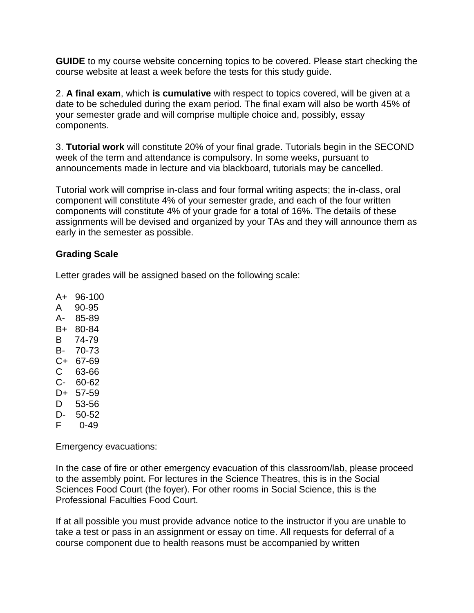**GUIDE** to my course website concerning topics to be covered. Please start checking the course website at least a week before the tests for this study guide.

2. **A final exam**, which **is cumulative** with respect to topics covered, will be given at a date to be scheduled during the exam period. The final exam will also be worth 45% of your semester grade and will comprise multiple choice and, possibly, essay components.

3. **Tutorial work** will constitute 20% of your final grade. Tutorials begin in the SECOND week of the term and attendance is compulsory. In some weeks, pursuant to announcements made in lecture and via blackboard, tutorials may be cancelled.

Tutorial work will comprise in-class and four formal writing aspects; the in-class, oral component will constitute 4% of your semester grade, and each of the four written components will constitute 4% of your grade for a total of 16%. The details of these assignments will be devised and organized by your TAs and they will announce them as early in the semester as possible.

### **Grading Scale**

Letter grades will be assigned based on the following scale:

A+ 96-100

- A 90-95
- A- 85-89
- B+ 80-84
- B 74-79
- B- 70-73
- C+ 67-69
- C 63-66 C- 60-62
- D+ 57-59
- D 53-56
- D- 50-52
- F 0-49

Emergency evacuations:

In the case of fire or other emergency evacuation of this classroom/lab, please proceed to the assembly point. For lectures in the Science Theatres, this is in the Social Sciences Food Court (the foyer). For other rooms in Social Science, this is the Professional Faculties Food Court.

If at all possible you must provide advance notice to the instructor if you are unable to take a test or pass in an assignment or essay on time. All requests for deferral of a course component due to health reasons must be accompanied by written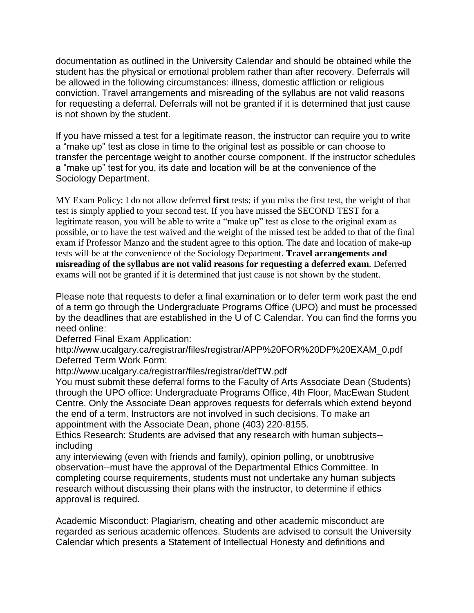documentation as outlined in the University Calendar and should be obtained while the student has the physical or emotional problem rather than after recovery. Deferrals will be allowed in the following circumstances: illness, domestic affliction or religious conviction. Travel arrangements and misreading of the syllabus are not valid reasons for requesting a deferral. Deferrals will not be granted if it is determined that just cause is not shown by the student.

If you have missed a test for a legitimate reason, the instructor can require you to write a "make up" test as close in time to the original test as possible or can choose to transfer the percentage weight to another course component. If the instructor schedules a "make up" test for you, its date and location will be at the convenience of the Sociology Department.

MY Exam Policy: I do not allow deferred **first** tests; if you miss the first test, the weight of that test is simply applied to your second test. If you have missed the SECOND TEST for a legitimate reason, you will be able to write a "make up" test as close to the original exam as possible, or to have the test waived and the weight of the missed test be added to that of the final exam if Professor Manzo and the student agree to this option. The date and location of make-up tests will be at the convenience of the Sociology Department. **Travel arrangements and misreading of the syllabus are not valid reasons for requesting a deferred exam**. Deferred exams will not be granted if it is determined that just cause is not shown by the student.

Please note that requests to defer a final examination or to defer term work past the end of a term go through the Undergraduate Programs Office (UPO) and must be processed by the deadlines that are established in the U of C Calendar. You can find the forms you need online:

Deferred Final Exam Application:

http://www.ucalgary.ca/registrar/files/registrar/APP%20FOR%20DF%20EXAM\_0.pdf Deferred Term Work Form:

http://www.ucalgary.ca/registrar/files/registrar/defTW.pdf

You must submit these deferral forms to the Faculty of Arts Associate Dean (Students) through the UPO office: Undergraduate Programs Office, 4th Floor, MacEwan Student Centre. Only the Associate Dean approves requests for deferrals which extend beyond the end of a term. Instructors are not involved in such decisions. To make an appointment with the Associate Dean, phone (403) 220-8155.

Ethics Research: Students are advised that any research with human subjects- including

any interviewing (even with friends and family), opinion polling, or unobtrusive observation--must have the approval of the Departmental Ethics Committee. In completing course requirements, students must not undertake any human subjects research without discussing their plans with the instructor, to determine if ethics approval is required.

Academic Misconduct: Plagiarism, cheating and other academic misconduct are regarded as serious academic offences. Students are advised to consult the University Calendar which presents a Statement of Intellectual Honesty and definitions and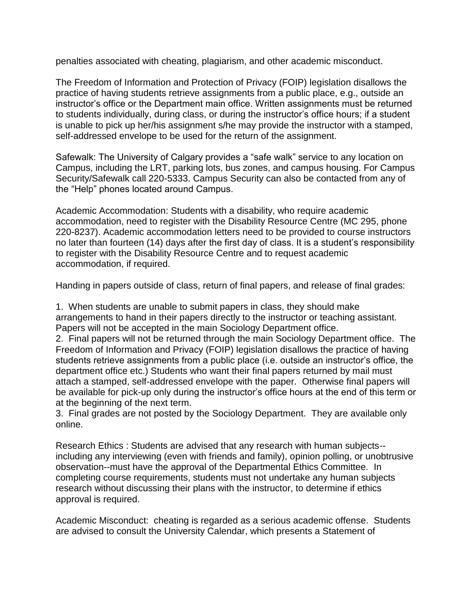penalties associated with cheating, plagiarism, and other academic misconduct.

The Freedom of Information and Protection of Privacy (FOIP) legislation disallows the practice of having students retrieve assignments from a public place, e.g., outside an instructor's office or the Department main office. Written assignments must be returned to students individually, during class, or during the instructor's office hours; if a student is unable to pick up her/his assignment s/he may provide the instructor with a stamped, self-addressed envelope to be used for the return of the assignment.

Safewalk: The University of Calgary provides a "safe walk" service to any location on Campus, including the LRT, parking lots, bus zones, and campus housing. For Campus Security/Safewalk call 220-5333. Campus Security can also be contacted from any of the "Help" phones located around Campus.

Academic Accommodation: Students with a disability, who require academic accommodation, need to register with the Disability Resource Centre (MC 295, phone 220-8237). Academic accommodation letters need to be provided to course instructors no later than fourteen (14) days after the first day of class. It is a student's responsibility to register with the Disability Resource Centre and to request academic accommodation, if required.

Handing in papers outside of class, return of final papers, and release of final grades:

1. When students are unable to submit papers in class, they should make arrangements to hand in their papers directly to the instructor or teaching assistant. Papers will not be accepted in the main Sociology Department office.

2. Final papers will not be returned through the main Sociology Department office. The Freedom of Information and Privacy (FOIP) legislation disallows the practice of having students retrieve assignments from a public place (i.e. outside an instructor's office, the department office etc.) Students who want their final papers returned by mail must attach a stamped, self-addressed envelope with the paper. Otherwise final papers will be available for pick-up only during the instructor's office hours at the end of this term or at the beginning of the next term.

3. Final grades are not posted by the Sociology Department. They are available only online.

Research Ethics : Students are advised that any research with human subjects- including any interviewing (even with friends and family), opinion polling, or unobtrusive observation--must have the approval of the Departmental Ethics Committee. In completing course requirements, students must not undertake any human subjects research without discussing their plans with the instructor, to determine if ethics approval is required.

Academic Misconduct: cheating is regarded as a serious academic offense. Students are advised to consult the University Calendar, which presents a Statement of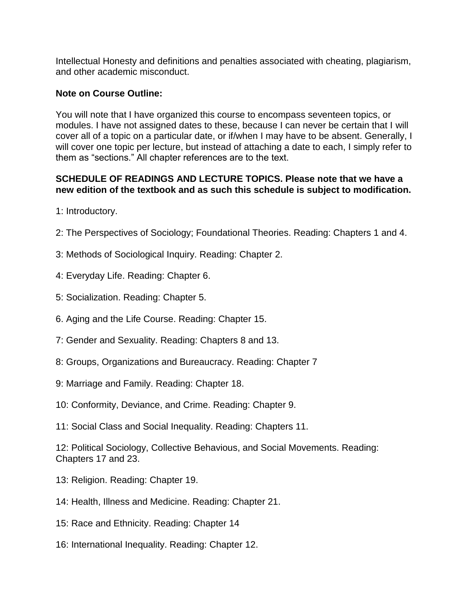Intellectual Honesty and definitions and penalties associated with cheating, plagiarism, and other academic misconduct.

## **Note on Course Outline:**

You will note that I have organized this course to encompass seventeen topics, or modules. I have not assigned dates to these, because I can never be certain that I will cover all of a topic on a particular date, or if/when I may have to be absent. Generally, I will cover one topic per lecture, but instead of attaching a date to each, I simply refer to them as "sections." All chapter references are to the text.

## **SCHEDULE OF READINGS AND LECTURE TOPICS. Please note that we have a new edition of the textbook and as such this schedule is subject to modification.**

1: Introductory.

- 2: The Perspectives of Sociology; Foundational Theories. Reading: Chapters 1 and 4.
- 3: Methods of Sociological Inquiry. Reading: Chapter 2.
- 4: Everyday Life. Reading: Chapter 6.
- 5: Socialization. Reading: Chapter 5.
- 6. Aging and the Life Course. Reading: Chapter 15.
- 7: Gender and Sexuality. Reading: Chapters 8 and 13.
- 8: Groups, Organizations and Bureaucracy. Reading: Chapter 7
- 9: Marriage and Family. Reading: Chapter 18.
- 10: Conformity, Deviance, and Crime. Reading: Chapter 9.
- 11: Social Class and Social Inequality. Reading: Chapters 11.

12: Political Sociology, Collective Behavious, and Social Movements. Reading: Chapters 17 and 23.

- 13: Religion. Reading: Chapter 19.
- 14: Health, Illness and Medicine. Reading: Chapter 21.
- 15: Race and Ethnicity. Reading: Chapter 14
- 16: International Inequality. Reading: Chapter 12.